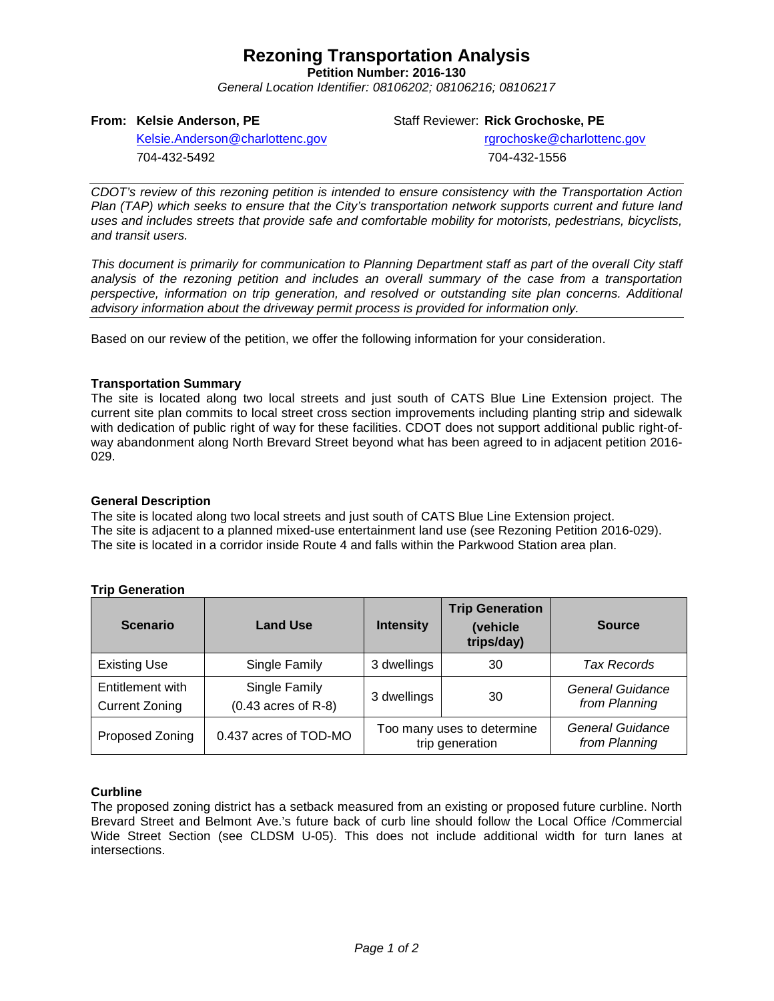# **Rezoning Transportation Analysis**

**Petition Number: 2016-130**

*General Location Identifier: 08106202; 08106216; 08106217*

### **From: Kelsie Anderson, PE**

Staff Reviewer: **Rick Grochoske, PE**

[Kelsie.Anderson@charlottenc.gov](mailto:Kelsie.Anderson@charlottenc.gov) 704-432-5492

rgrochoske@charlottenc.gov 704-432-1556

*CDOT's review of this rezoning petition is intended to ensure consistency with the Transportation Action Plan (TAP) which seeks to ensure that the City's transportation network supports current and future land uses and includes streets that provide safe and comfortable mobility for motorists, pedestrians, bicyclists, and transit users.*

*This document is primarily for communication to Planning Department staff as part of the overall City staff analysis of the rezoning petition and includes an overall summary of the case from a transportation perspective, information on trip generation, and resolved or outstanding site plan concerns. Additional advisory information about the driveway permit process is provided for information only.*

Based on our review of the petition, we offer the following information for your consideration.

## **Transportation Summary**

The site is located along two local streets and just south of CATS Blue Line Extension project. The current site plan commits to local street cross section improvements including planting strip and sidewalk with dedication of public right of way for these facilities. CDOT does not support additional public right-ofway abandonment along North Brevard Street beyond what has been agreed to in adjacent petition 2016- 029.

### **General Description**

The site is located along two local streets and just south of CATS Blue Line Extension project. The site is adjacent to a planned mixed-use entertainment land use (see Rezoning Petition 2016-029). The site is located in a corridor inside Route 4 and falls within the Parkwood Station area plan.

| <b>Scenario</b>                           | <b>Land Use</b>                        | <b>Intensity</b>                              | <b>Trip Generation</b><br>(vehicle<br>trips/day) | <b>Source</b>                            |
|-------------------------------------------|----------------------------------------|-----------------------------------------------|--------------------------------------------------|------------------------------------------|
| <b>Existing Use</b>                       | Single Family                          | 3 dwellings                                   | 30                                               | <b>Tax Records</b>                       |
| Entitlement with<br><b>Current Zoning</b> | Single Family<br>$(0.43$ acres of R-8) | 3 dwellings                                   | 30                                               | <b>General Guidance</b><br>from Planning |
| Proposed Zoning                           | 0.437 acres of TOD-MO                  | Too many uses to determine<br>trip generation |                                                  | General Guidance<br>from Planning        |

## **Trip Generation**

### **Curbline**

The proposed zoning district has a setback measured from an existing or proposed future curbline. North Brevard Street and Belmont Ave.'s future back of curb line should follow the Local Office /Commercial Wide Street Section (see CLDSM U-05). This does not include additional width for turn lanes at intersections.